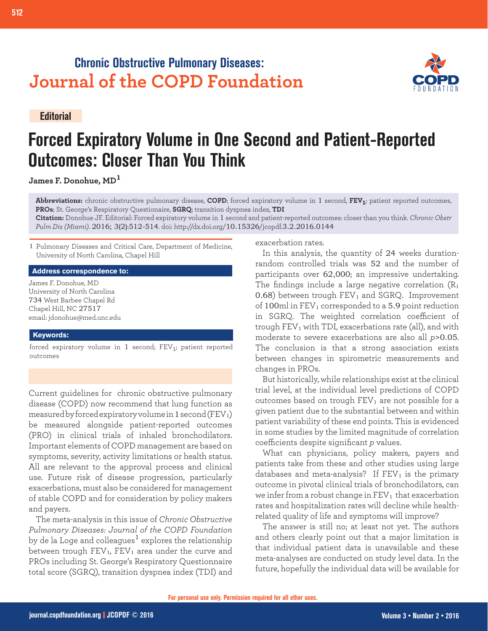## **Chronic Obstructive Pulmonary Diseases: Journal of the COPD Foundation**

**Editorial**

# **Forced Expiratory Volume in One Second and Patient-Reported Outcomes: Closer Than You Think**

**James F. Donohue, MD<sup>1</sup>**

**Abbreviations:** chronic obstructive pulmonary disease, **COPD**; forced expiratory volume in 1 second, **FEV1**; patient reported outcomes, **PROs**; St. George's Respiratory Questionaire, **SGRQ**; transition dyspnea index, **TDI**

**Citation:** Donohue JF. Editorial: Forced expiratory volume in 1 second and patient-reported outcomes: closer than you think. *Chronic Obstr Pulm Dis (Miami)*. 2016; 3(2):512-514. doi: http://dx.doi.org/10.15326/jcopdf.3.2.2016.0144

1 Pulmonary Diseases and Critical Care, Department of Medicine, University of North Carolina, Chapel Hill

#### **Address correspondence to:**

James F. Donohue, MD University of North Carolina 734 West Barbee Chapel Rd Chapel Hill, NC 27517 email: jdonohue@med.unc.edu

#### **Keywords:**

forced expiratory volume in  $1$  second;  $FEV<sub>1</sub>$ ; patient reported outcomes

Current guidelines for chronic obstructive pulmonary disease (COPD) now recommend that lung function as measured by forced expiratory volume in 1 second ( $FEV<sub>1</sub>$ ) be measured alongside patient-reported outcomes (PRO) in clinical trials of inhaled bronchodilators. Important elements of COPD management are based on symptoms, severity, activity limitations or health status. All are relevant to the approval process and clinical use. Future risk of disease progression, particularly exacerbations, must also be considered for management of stable COPD and for consideration by policy makers and payers.

The meta-analysis in this issue of *Chronic Obstructive Pulmonary Diseases: Journal of the COPD Foundation*  by [de la Loge and colleagues](http://journal.copdfoundation.org/jcopdf/id/1102/Relationship-Between-FEV1-and-Patient-Reported-Outcomes-Changes-Results-of-a-Meta-Analysis-of-Randomized-Trials-in-Stable-COPD)<sup>1</sup> explores the relationship between trough  $FEV<sub>1</sub>$ ,  $FEV<sub>1</sub>$  area under the curve and PROs including St. George's Respiratory Questionnaire total score (SGRQ), transition dyspnea index (TDI) and

exacerbation rates.

In this analysis, the quantity of 24 weeks durationrandom controlled trials was 52 and the number of participants over 62,000; an impressive undertaking. The findings include a large negative correlation  $(R_1)$ 0.68) between trough  $FEV<sub>1</sub>$  and SGRQ. Improvement of 100ml in  $FEV_1$  corresponded to a 5.9 point reduction in SGRQ. The weighted correlation coefficient of trough  $FEV<sub>1</sub>$  with TDI, exacerbations rate (all), and with moderate to severe exacerbations are also all *p*>0.05. The conclusion is that a strong association exists between changes in spirometric measurements and changes in PROs.

But historically, while relationships exist at the clinical trial level, at the individual level predictions of COPD outcomes based on trough  $FEV<sub>1</sub>$  are not possible for a given patient due to the substantial between and within patient variability of these end points. This is evidenced in some studies by the limited magnitude of correlation coefficients despite significant *p* values.

What can physicians, policy makers, payers and patients take from these and other studies using large databases and meta-analysis? If  $FEV<sub>1</sub>$  is the primary outcome in pivotal clinical trials of bronchodilators, can we infer from a robust change in  $FEV<sub>1</sub>$  that exacerbation rates and hospitalization rates will decline while healthrelated quality of life and symptoms will improve?

The answer is still no; at least not yet. The authors and others clearly point out that a major limitation is that individual patient data is unavailable and these meta-analyses are conducted on study level data. In the future, hopefully the individual data will be available for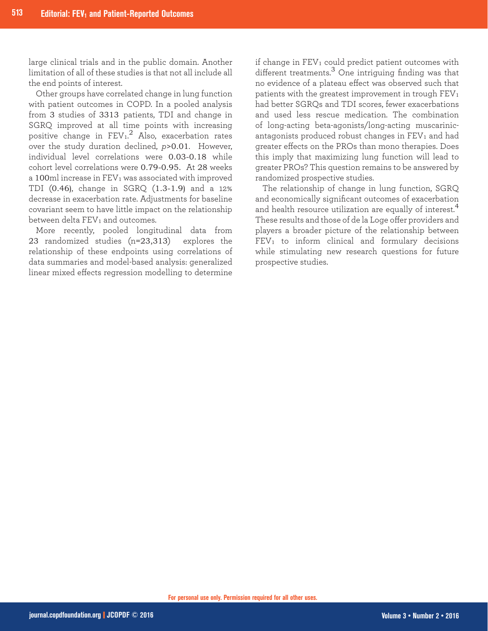large clinical trials and in the public domain. Another limitation of all of these studies is that not all include all the end points of interest.

Other groups have correlated change in lung function with patient outcomes in COPD. In a pooled analysis from 3 studies of 3313 patients, TDI and change in SGRQ improved at all time points with increasing positive change in  $\text{FEV}_1.^2$  Also, exacerbation rates over the study duration declined, *p*>0.01. However, individual level correlations were 0.03-0.18 while cohort level correlations were 0.79-0.95. At 28 weeks a 100 $m$ l increase in  $FEV<sub>1</sub>$  was associated with improved TDI (0.46), change in SGRQ (1.3-1.9) and a 12% decrease in exacerbation rate. Adjustments for baseline covariant seem to have little impact on the relationship between delta FEV<sub>1</sub> and outcomes.

More recently, pooled longitudinal data from 23 randomized studies (n=23,313) explores the relationship of these endpoints using correlations of data summaries and model-based analysis: generalized linear mixed effects regression modelling to determine

if change in  $FEV<sub>1</sub>$  could predict patient outcomes with different treatments.3 One intriguing finding was that no evidence of a plateau effect was observed such that patients with the greatest improvement in trough  $FEV<sub>1</sub>$ had better SGRQs and TDI scores, fewer exacerbations and used less rescue medication. The combination of long-acting beta-agonists/long-acting muscarinicantagonists produced robust changes in  $FEV<sub>1</sub>$  and had greater effects on the PROs than mono therapies. Does this imply that maximizing lung function will lead to greater PROs? This question remains to be answered by randomized prospective studies.

The relationship of change in lung function, SGRQ and economically significant outcomes of exacerbation and health resource utilization are equally of interest.<sup>4</sup> These results and those of de la Loge offer providers and players a broader picture of the relationship between  $FEV<sub>1</sub>$  to inform clinical and formulary decisions while stimulating new research questions for future prospective studies.